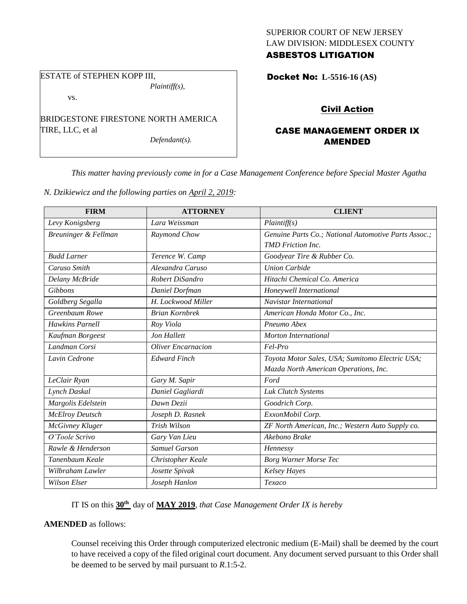## SUPERIOR COURT OF NEW JERSEY LAW DIVISION: MIDDLESEX COUNTY ASBESTOS LITIGATION

ESTATE of STEPHEN KOPP III, *Plaintiff(s),*

vs.

BRIDGESTONE FIRESTONE NORTH AMERICA TIRE, LLC, et al

*Defendant(s).*

Docket No: **L-5516-16 (AS)** 

# Civil Action

## CASE MANAGEMENT ORDER IX AMENDED

*This matter having previously come in for a Case Management Conference before Special Master Agatha* 

*N. Dzikiewicz and the following parties on April 2, 2019:*

| <b>FIRM</b>            | <b>ATTORNEY</b>           | <b>CLIENT</b>                                        |
|------------------------|---------------------------|------------------------------------------------------|
| Levy Konigsberg        | Lara Weissman             | Plaintiff(s)                                         |
| Breuninger & Fellman   | Raymond Chow              | Genuine Parts Co.; National Automotive Parts Assoc.; |
|                        |                           | <b>TMD</b> Friction Inc.                             |
| <b>Budd Larner</b>     | Terence W. Camp           | Goodyear Tire & Rubber Co.                           |
| Caruso Smith           | Alexandra Caruso          | <b>Union Carbide</b>                                 |
| Delany McBride         | Robert DiSandro           | Hitachi Chemical Co. America                         |
| Gibbons                | Daniel Dorfman            | Honeywell International                              |
| Goldberg Segalla       | H. Lockwood Miller        | Navistar International                               |
| Greenbaum Rowe         | <b>Brian Kornbrek</b>     | American Honda Motor Co., Inc.                       |
| <b>Hawkins Parnell</b> | Roy Viola                 | Pneumo Abex                                          |
| Kaufman Borgeest       | Jon Hallett               | Morton International                                 |
| Landman Corsi          | <b>Oliver Encarnacion</b> | Fel-Pro                                              |
| Lavin Cedrone          | <b>Edward Finch</b>       | Toyota Motor Sales, USA; Sumitomo Electric USA;      |
|                        |                           | Mazda North American Operations, Inc.                |
| LeClair Ryan           | Gary M. Sapir             | Ford                                                 |
| Lynch Daskal           | Daniel Gagliardi          | Luk Clutch Systems                                   |
| Margolis Edelstein     | Dawn Dezii                | Goodrich Corp.                                       |
| <b>McElroy Deutsch</b> | Joseph D. Rasnek          | ExxonMobil Corp.                                     |
| McGivney Kluger        | Trish Wilson              | ZF North American, Inc.; Western Auto Supply co.     |
| O'Toole Scrivo         | Gary Van Lieu             | Akebono Brake                                        |
| Rawle & Henderson      | <b>Samuel Garson</b>      | Hennessy                                             |
| Tanenbaum Keale        | Christopher Keale         | <b>Borg Warner Morse Tec</b>                         |
| Wilbraham Lawler       | Josette Spivak            | Kelsey Hayes                                         |
| <b>Wilson Elser</b>    | Joseph Hanlon             | Texaco                                               |

IT IS on this **30th** day of **MAY 2019**, *that Case Management Order IX is hereby*

## **AMENDED** as follows:

Counsel receiving this Order through computerized electronic medium (E-Mail) shall be deemed by the court to have received a copy of the filed original court document. Any document served pursuant to this Order shall be deemed to be served by mail pursuant to *R*.1:5-2.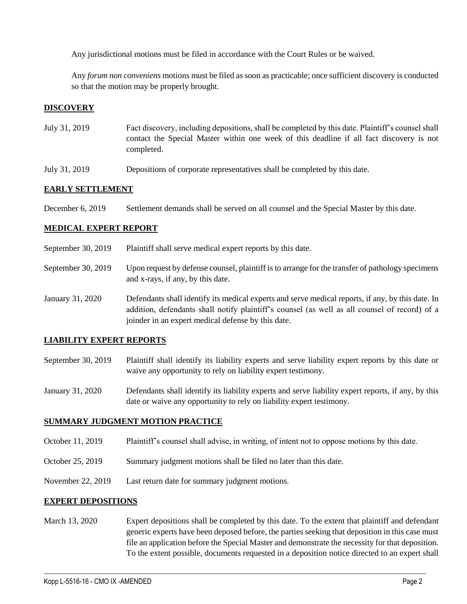Any jurisdictional motions must be filed in accordance with the Court Rules or be waived.

Any *forum non conveniens* motions must be filed as soon as practicable; once sufficient discovery is conducted so that the motion may be properly brought.

## **DISCOVERY**

- July 31, 2019 Fact discovery, including depositions, shall be completed by this date. Plaintiff's counsel shall contact the Special Master within one week of this deadline if all fact discovery is not completed.
- July 31, 2019 Depositions of corporate representatives shall be completed by this date.

### **EARLY SETTLEMENT**

December 6, 2019 Settlement demands shall be served on all counsel and the Special Master by this date.

#### **MEDICAL EXPERT REPORT**

- September 30, 2019 Plaintiff shall serve medical expert reports by this date.
- September 30, 2019 Upon request by defense counsel, plaintiff is to arrange for the transfer of pathology specimens and x-rays, if any, by this date.
- January 31, 2020 Defendants shall identify its medical experts and serve medical reports, if any, by this date. In addition, defendants shall notify plaintiff's counsel (as well as all counsel of record) of a joinder in an expert medical defense by this date.

#### **LIABILITY EXPERT REPORTS**

- September 30, 2019 Plaintiff shall identify its liability experts and serve liability expert reports by this date or waive any opportunity to rely on liability expert testimony.
- January 31, 2020 Defendants shall identify its liability experts and serve liability expert reports, if any, by this date or waive any opportunity to rely on liability expert testimony.

#### **SUMMARY JUDGMENT MOTION PRACTICE**

- October 11, 2019 Plaintiff's counsel shall advise, in writing, of intent not to oppose motions by this date.
- October 25, 2019 Summary judgment motions shall be filed no later than this date.
- November 22, 2019 Last return date for summary judgment motions.

#### **EXPERT DEPOSITIONS**

March 13, 2020 Expert depositions shall be completed by this date. To the extent that plaintiff and defendant generic experts have been deposed before, the parties seeking that deposition in this case must file an application before the Special Master and demonstrate the necessity for that deposition. To the extent possible, documents requested in a deposition notice directed to an expert shall

 $\_$  , and the set of the set of the set of the set of the set of the set of the set of the set of the set of the set of the set of the set of the set of the set of the set of the set of the set of the set of the set of th